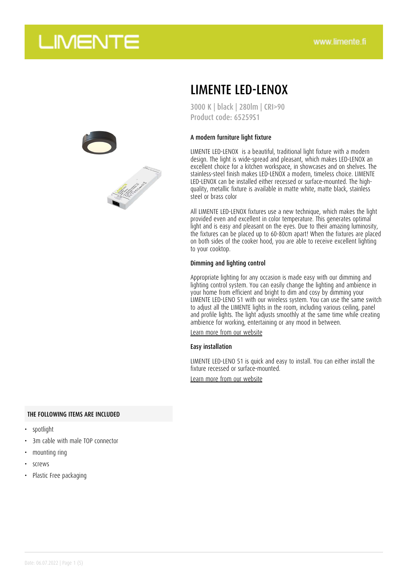

## LIMENTE LED-LENOX

3000 K | black | 280lm | CRI>90 Product code: 65259S1

### A modern furniture light fixture

LIMENTE LED-LENOX is a beautiful, traditional light fixture with a modern design. The light is wide-spread and pleasant, which makes LED-LENOX an excellent choice for a kitchen workspace, in showcases and on shelves. The stainless-steel finish makes LED-LENOX a modern, timeless choice. LIMENTE LED-LENOX can be installed either recessed or surface-mounted. The highquality, metallic fixture is available in matte white, matte black, stainless steel or brass color

All LIMENTE LED-LENOX fixtures use a new technique, which makes the light provided even and excellent in color temperature. This generates optimal light and is easy and pleasant on the eyes. Due to their amazing luminosity, the fixtures can be placed up to 60-80cm apart! When the fixtures are placed on both sides of the cooker hood, you are able to receive excellent lighting to your cooktop.

#### Dimming and lighting control

Appropriate lighting for any occasion is made easy with our dimming and lighting control system. You can easily change the lighting and ambience in your home from efficient and bright to dim and cosy by dimming your LIMENTE LED-LENO 51 with our wireless system. You can use the same switch to adjust all the LIMENTE lights in the room, including various ceiling, panel and profile lights. The light adjusts smoothly at the same time while creating ambience for working, entertaining or any mood in between.

[Learn more from our website](https://www.limente.fi/tuotteet/65259S1)

#### Easy installation

LIMENTE LED-LENO 51 is quick and easy to install. You can either install the fixture recessed or surface-mounted.

[Learn more from our website](https://www.limente.fi/tuotteet/65259S1)

#### THE FOLLOWING ITEMS ARE INCLUDED

- spotlight
- 3m cable with male TOP connector
- mounting ring
- screws
- Plastic Free packaging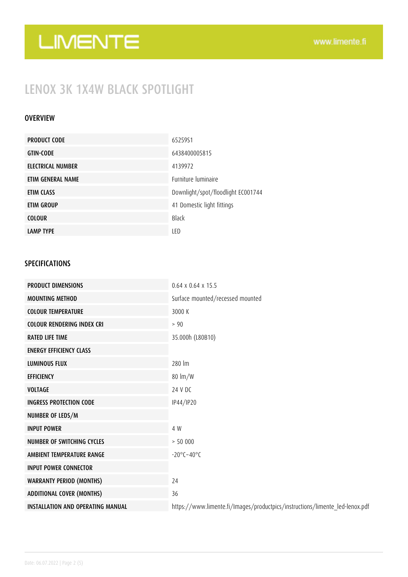### LENOX 3K 1X4W BLACK SPOTLIGHT

### OVERVIEW

| <b>PRODUCT CODE</b> | 6525951                            |
|---------------------|------------------------------------|
| <b>GTIN-CODE</b>    | 6438400005815                      |
| ELECTRICAL NUMBER   | 4139972                            |
| ETIM GENERAL NAME   | <b>Furniture luminaire</b>         |
| ETIM CLASS          | Downlight/spot/floodlight EC001744 |
| ETIM GROUP          | 41 Domestic light fittings         |
| <b>COLOUR</b>       | <b>Black</b>                       |
| <b>LAMP TYPE</b>    | LED                                |

### SPECIFICATIONS

| <b>PRODUCT DIMENSIONS</b>                | $0.64 \times 0.64 \times 15.5$                                               |
|------------------------------------------|------------------------------------------------------------------------------|
| <b>MOUNTING METHOD</b>                   | Surface mounted/recessed mounted                                             |
| <b>COLOUR TEMPERATURE</b>                | 3000 K                                                                       |
| <b>COLOUR RENDERING INDEX CRI</b>        | > 90                                                                         |
| <b>RATED LIFE TIME</b>                   | 35.000h (L80B10)                                                             |
| <b>ENERGY EFFICIENCY CLASS</b>           |                                                                              |
| <b>LUMINOUS FLUX</b>                     | 280 lm                                                                       |
| <b>EFFICIENCY</b>                        | 80 lm/W                                                                      |
| <b>VOLTAGE</b>                           | 24 V DC                                                                      |
| <b>INGRESS PROTECTION CODE</b>           | IP44/IP20                                                                    |
| NUMBER OF LEDS/M                         |                                                                              |
| <b>INPUT POWER</b>                       | 4 W                                                                          |
| NUMBER OF SWITCHING CYCLES               | > 50000                                                                      |
| AMBIENT TEMPERATURE RANGE                | $-20^{\circ}$ C $-40^{\circ}$ C                                              |
| <b>INPUT POWER CONNECTOR</b>             |                                                                              |
| <b>WARRANTY PERIOD (MONTHS)</b>          | 24                                                                           |
| <b>ADDITIONAL COVER (MONTHS)</b>         | 36                                                                           |
| <b>INSTALLATION AND OPERATING MANUAL</b> | https://www.limente.fi/Images/productpics/instructions/limente_led-lenox.pdf |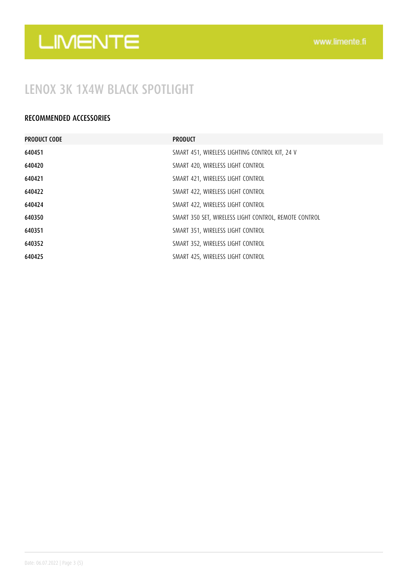## LENOX 3K 1X4W BLACK SPOTLIGHT

### RECOMMENDED ACCESSORIES

| <b>PRODUCT CODE</b> | <b>PRODUCT</b>                                        |
|---------------------|-------------------------------------------------------|
| 640451              | SMART 451, WIRELESS LIGHTING CONTROL KIT, 24 V        |
| 640420              | SMART 420, WIRELESS LIGHT CONTROL                     |
| 640421              | SMART 421, WIRELESS LIGHT CONTROL                     |
| 640422              | SMART 422, WIRELESS LIGHT CONTROL                     |
| 640424              | SMART 422, WIRELESS LIGHT CONTROL                     |
| 640350              | SMART 350 SET, WIRELESS LIGHT CONTROL, REMOTE CONTROL |
| 640351              | SMART 351, WIRELESS LIGHT CONTROL                     |
| 640352              | SMART 352, WIRELESS LIGHT CONTROL                     |
| 640425              | SMART 425, WIRELESS LIGHT CONTROL                     |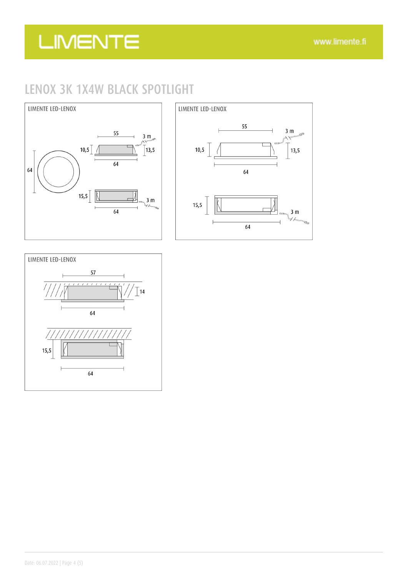## LENOX 3K 1X4W BLACK SPOTLIGHT